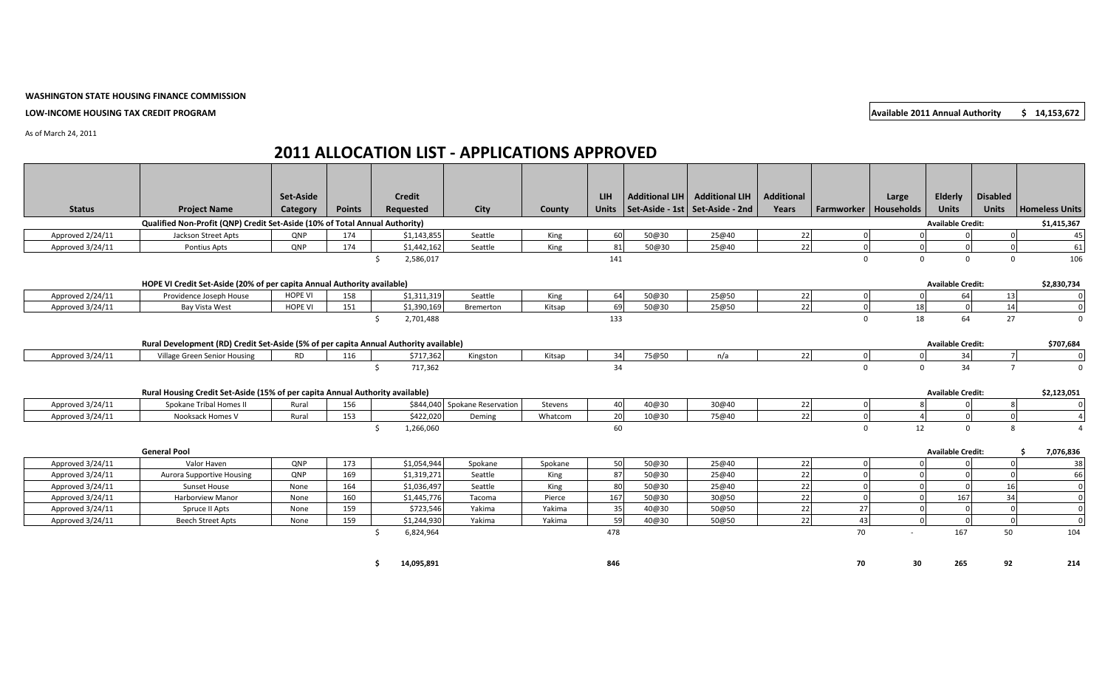**LOW-INCOME HOUSING TAX CREDIT PROGRAM Available 2011 Annual Authority 5 14,153,672** 

## **WASHINGTON STATE HOUSING FINANCE COMMISSION**

As of March 24, 2011

### **Status Project Name Set-Aside Category Points Credit Requested City County LIH Units Additional LIH Set-Aside - 1st Additional LIH Set-Aside - 2nd Additional Years Farmworker Large Households Elderly Units Disabled Units Homeless Units Qualified Non-Profit (QNP) Credit Set-Aside (10% of Total Annual Authority) Available Credit: \$1,415,367** Approved 2/24/11 | Jackson Street Apts | QNP | 174 | \$1,143,855| Seattle | King | 60| [50@30](mailto:50@30) | [25@40](mailto:25@40) | 22| 0| 0| 0| 0| 0| 45 Approved 3/24/11 | Pontius Apts | QNP | 174 | \$1,442,162| Seattle | King | 81| [50@30](mailto:50@30) | [25@40](mailto:25@40) | 22| 0| 0| 0| 0| 61  $\zeta$  2,586,017  $\zeta$  106  $\zeta$  141  $\zeta$  141 0 0 0 0 0 106 **HOPE VI Credit Set-Aside (20% of per capita Annual Authority available) Available Credit: \$2,830,734** Approved 2/24/11 | Providence Joseph House | HOPE VI | 158 | \$1,311,319| Seattle | King | 64| [50@30](mailto:50@30) | [25@50](mailto:25@50) | 22| 0 0 0 64| 13| 0 Approved 3/24/11 | Bay Vista West | HOPE VI | 151 | \$1,390,169| Bremerton | Kitsap | 69| [50@30](mailto:50@30) | [25@50](mailto:25@50) | 22| 0| 18| 0| 14| 0 \$ 2,701,488 133 0 18 64 27 0 **Rural Development (RD) Credit Set-Aside (5% of per capita Annual Authority available) Available Credit: \$707,684** Approved 3/24/11 | Village Green Senior Housing | RD | 116 | \$717,362 Kingston | Kitsap | 34| [75@50](mailto:75@50) | n/a | 22| 0 0 0 34| 7| 0  $\zeta$  717,362 34 34 97 0 34 7 0 **Rural Housing Credit Set-Aside (15% of per capita Annual Authority available) <b>Available Creditic Available Credit:** \$2,123,051 Approved 3/24/11 | Spokane Tribal Homes II | Rural | 156 | \$844,040 Spokane Reservation | Stevens | 40 [40@30](mailto:40@30) | [30@40](mailto:30@40) | 22 | 0 8 0 8 Approved 3/24/11 | Nooksack Homes V | Rural | 153 | \$422,020| Deming | Whatcom | 20| [10@30](mailto:10@30) | [75@40](mailto:75@40) | 22| 0 0| 4 0| 0| 0| 4 \$ 1,266,060 60 0 12 0 8 4 **General Pool Available Credit: \$ 7,076,836** Approved 3/24/11 | Valor Haven | QNP | 173 | \$1,054,944| Spokane | Spokane | 50| [50@30](mailto:50@30) | [25@40](mailto:25@40) | 22| 0| 0| 0| 0| 0| Approved 3/24/11 | Aurora Supportive Housing | QNP | 169 | \$1,319,271| Seattle | King | 87| [50@30](mailto:50@30) | [25@40](mailto:25@40) | 22| 0| 0| 0| 0| 0| 66 Approved 3/24/11 | Sunset House | None | 164 | \$1,036,497| Seattle | King | 80| [50@30](mailto:50@30) | [25@40](mailto:25@40) | 22| 0| 0| 0| 0| 16| 0 Approved 3/24/11 | Harborview Manor | None | 160 | \$1,445,776| Tacoma | Pierce | 167| [50@30](mailto:50@30) | [30@50](mailto:30@50) | 22| 0| 0| 167| 34| 0 Approved 3/24/11 | Spruce II Apts | None | 159 | \$723,546| Yakima | Yakima | 35| [40@30](mailto:40@30) | [50@50](mailto:50@50) | 22| 27| 0| 0| 0| 0| Approved 3/24/11 | Beech Street Apts | None | 159 | \$1,244,930 Yakima | Yakima | 59| [40@30](mailto:40@30) | [50@50](mailto:50@50) | 22| 43| 0| 0| 0| 0| 0  $\zeta$  6,824,964 50 104 682,964 50 104 478 50 104 50 104 50 104 50 104 50 104 50 104

# **2011 ALLOCATION LIST - APPLICATIONS APPROVED**

**\$ 14,095,891 846 70 30 265 92 214**